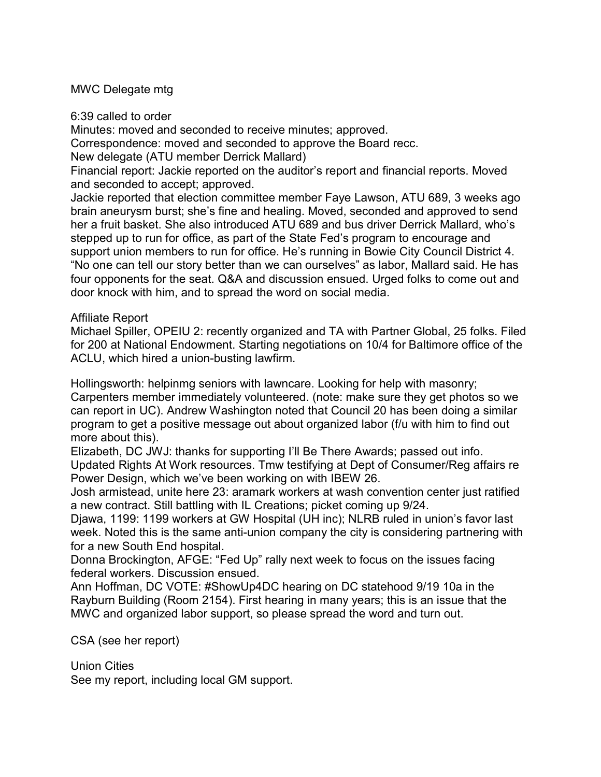## MWC Delegate mtg

6:39 called to order

Minutes: moved and seconded to receive minutes; approved.

Correspondence: moved and seconded to approve the Board recc.

New delegate (ATU member Derrick Mallard)

Financial report: Jackie reported on the auditor's report and financial reports. Moved and seconded to accept; approved.

Jackie reported that election committee member Faye Lawson, ATU 689, 3 weeks ago brain aneurysm burst; she's fine and healing. Moved, seconded and approved to send her a fruit basket. She also introduced ATU 689 and bus driver Derrick Mallard, who's stepped up to run for office, as part of the State Fed's program to encourage and support union members to run for office. He's running in Bowie City Council District 4. "No one can tell our story better than we can ourselves" as labor, Mallard said. He has four opponents for the seat. Q&A and discussion ensued. Urged folks to come out and door knock with him, and to spread the word on social media.

## Affiliate Report

Michael Spiller, OPEIU 2: recently organized and TA with Partner Global, 25 folks. Filed for 200 at National Endowment. Starting negotiations on 10/4 for Baltimore office of the ACLU, which hired a union-busting lawfirm.

Hollingsworth: helpinmg seniors with lawncare. Looking for help with masonry; Carpenters member immediately volunteered. (note: make sure they get photos so we can report in UC). Andrew Washington noted that Council 20 has been doing a similar program to get a positive message out about organized labor (f/u with him to find out more about this).

Elizabeth, DC JWJ: thanks for supporting I'll Be There Awards; passed out info. Updated Rights At Work resources. Tmw testifying at Dept of Consumer/Reg affairs re Power Design, which we've been working on with IBEW 26.

Josh armistead, unite here 23: aramark workers at wash convention center just ratified a new contract. Still battling with IL Creations; picket coming up 9/24.

Djawa, 1199: 1199 workers at GW Hospital (UH inc); NLRB ruled in union's favor last week. Noted this is the same anti-union company the city is considering partnering with for a new South End hospital.

Donna Brockington, AFGE: "Fed Up" rally next week to focus on the issues facing federal workers. Discussion ensued.

Ann Hoffman, DC VOTE: #ShowUp4DC hearing on DC statehood 9/19 10a in the Rayburn Building (Room 2154). First hearing in many years; this is an issue that the MWC and organized labor support, so please spread the word and turn out.

## CSA (see her report)

## Union Cities

See my report, including local GM support.